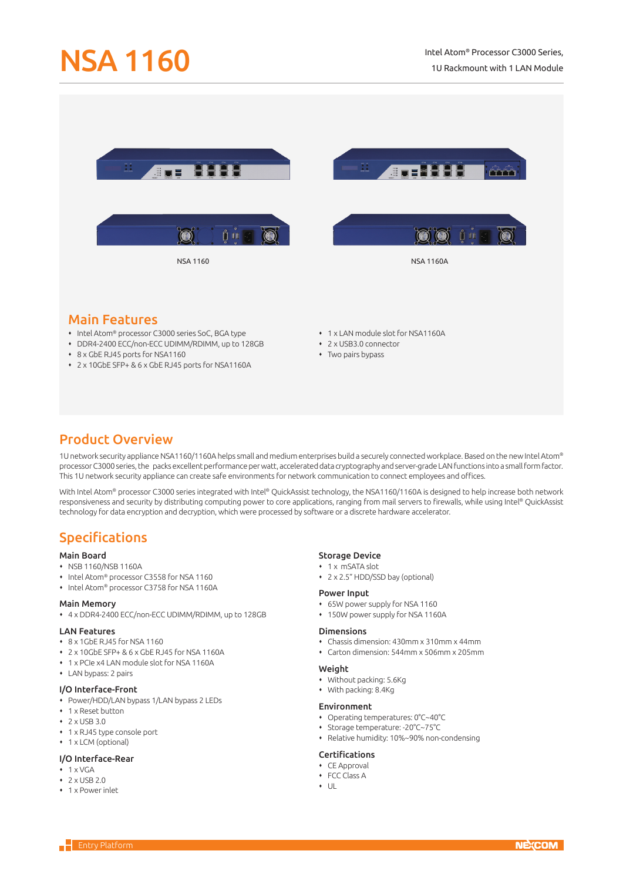

# Main Features

- Intel Atom® processor C3000 series SoC, BGA type
- DDR4-2400 ECC/non-ECC UDIMM/RDIMM, up to 128GB
- 8 x GbE RJ45 ports for NSA1160
- 2 x 10GbE SFP+ & 6 x GbE RJ45 ports for NSA1160A
- 1 x LAN module slot for NSA1160A
- 2 x USB3.0 connector
- Two pairs bypass

# Product Overview

1U network security appliance NSA1160/1160A helps small and medium enterprises build a securely connected workplace. Based on the new Intel Atom® processor C3000 series, the packs excellent performance per watt, accelerated data cryptography and server-grade LAN functions into a small form factor. This 1U network security appliance can create safe environments for network communication to connect employees and offices.

With Intel Atom® processor C3000 series integrated with Intel® QuickAssist technology, the NSA1160/1160A is designed to help increase both network responsiveness and security by distributing computing power to core applications, ranging from mail servers to firewalls, while using Intel® QuickAssist technology for data encryption and decryption, which were processed by software or a discrete hardware accelerator.

# Specifications

## Main Board

- NSB 1160/NSB 1160A
- Intel Atom® processor C3558 for NSA 1160
- Intel Atom® processor C3758 for NSA 1160A

### Main Memory

4 x DDR4-2400 ECC/non-ECC UDIMM/RDIMM, up to 128GB

#### LAN Features

- 8 x 1GbE RJ45 for NSA 1160
- 2 x 10GbE SFP+ & 6 x GbE RJ45 for NSA 1160A
- 1 x PCIe x4 LAN module slot for NSA 1160A
- LAN bypass: 2 pairs

### I/O Interface-Front

- Power/HDD/LAN bypass 1/LAN bypass 2 LEDs
- 1 x Reset button
- $2 \times 1$ ISB 3.0
- 1 x RJ45 type console port
- 1 x LCM (optional)

### I/O Interface-Rear

- $+ 1 \times VGA$
- $\cdot$  2 x USB 2.0
- 1 x Power inlet

#### Storage Device

- 1 x mSATA slot
- 2 x 2.5" HDD/SSD bay (optional)

#### Power Input

- 65W power supply for NSA 1160
- 150W power supply for NSA 1160A

#### Dimensions

- Chassis dimension: 430mm x 310mm x 44mm
- Carton dimension: 544mm x 506mm x 205mm

#### Weight

- Without packing: 5.6Kg
- With packing: 8.4Kg

#### Environment

- Operating temperatures: 0°C~40°C
- Storage temperature: -20°C~75°C
- Relative humidity: 10%~90% non-condensing

### Certifications

- CE Approval
- FCC Class A
- $+$  UL